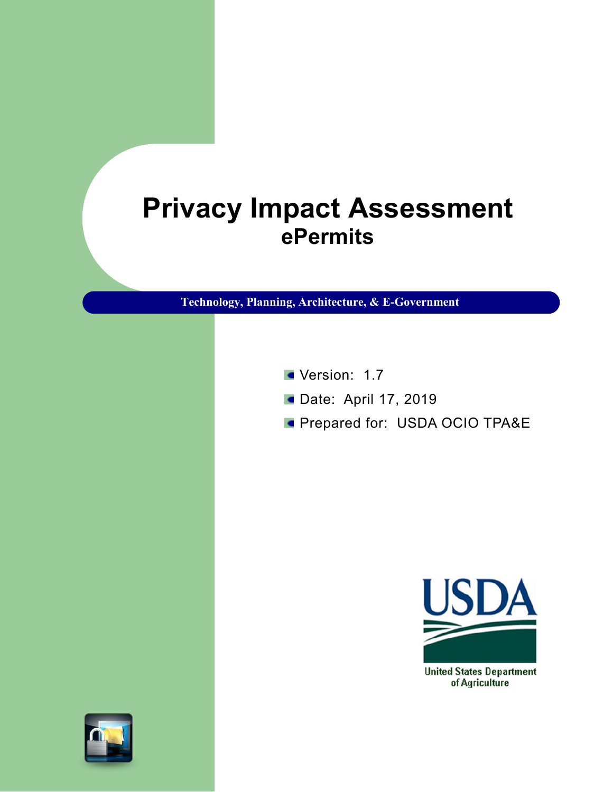## **Privacy Impact Assessment ePermits**

**Technology, Planning, Architecture, & E-Government**

- Version: 1.7
- **Date: April 17, 2019**
- **Prepared for: USDA OCIO TPA&E**



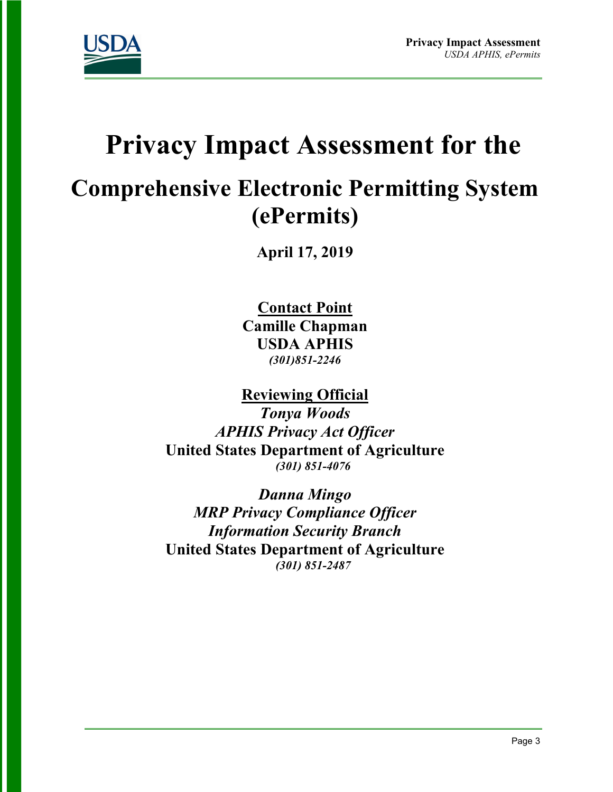

# **Privacy Impact Assessment for the**

## **Comprehensive Electronic Permitting System (ePermits)**

**April 17, 2019**

**Contact Point Camille Chapman USDA APHIS**  *(301)851-2246*

**Reviewing Official** 

*Tonya Woods APHIS Privacy Act Officer*  **United States Department of Agriculture** *(301) 851-4076*

*Danna Mingo MRP Privacy Compliance Officer Information Security Branch*  **United States Department of Agriculture** *(301) 851-2487*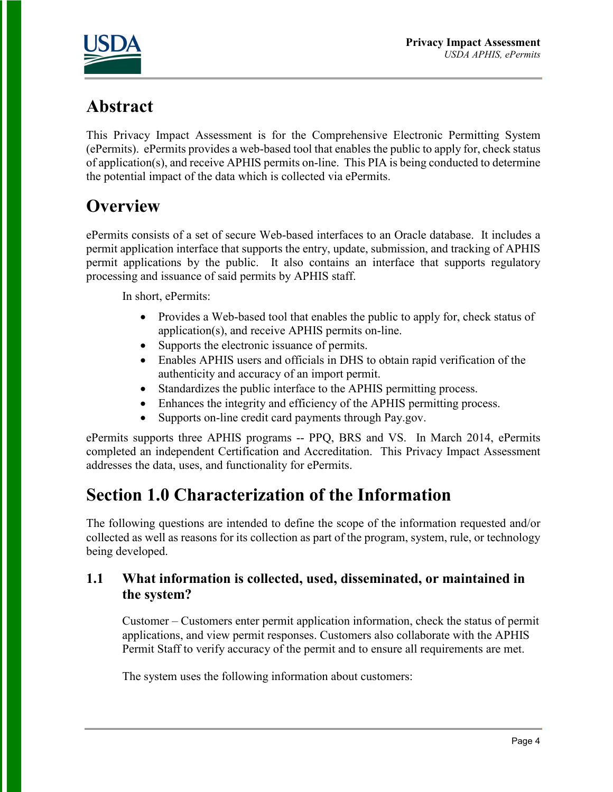

### **Abstract**

This Privacy Impact Assessment is for the Comprehensive Electronic Permitting System (ePermits). ePermits provides a web-based tool that enables the public to apply for, check status of application(s), and receive APHIS permits on-line. This PIA is being conducted to determine the potential impact of the data which is collected via ePermits.

### **Overview**

ePermits consists of a set of secure Web-based interfaces to an Oracle database. It includes a permit application interface that supports the entry, update, submission, and tracking of APHIS permit applications by the public. It also contains an interface that supports regulatory processing and issuance of said permits by APHIS staff.

In short, ePermits:

- Provides a Web-based tool that enables the public to apply for, check status of application(s), and receive APHIS permits on-line.
- Supports the electronic issuance of permits.
- Enables APHIS users and officials in DHS to obtain rapid verification of the authenticity and accuracy of an import permit.
- Standardizes the public interface to the APHIS permitting process.
- Enhances the integrity and efficiency of the APHIS permitting process.
- Supports on-line credit card payments through Pay.gov.

ePermits supports three APHIS programs -- PPQ, BRS and VS. In March 2014, ePermits completed an independent Certification and Accreditation. This Privacy Impact Assessment addresses the data, uses, and functionality for ePermits.

### **Section 1.0 Characterization of the Information**

The following questions are intended to define the scope of the information requested and/or collected as well as reasons for its collection as part of the program, system, rule, or technology being developed.

#### **1.1 What information is collected, used, disseminated, or maintained in the system?**

Customer – Customers enter permit application information, check the status of permit applications, and view permit responses. Customers also collaborate with the APHIS Permit Staff to verify accuracy of the permit and to ensure all requirements are met.

The system uses the following information about customers: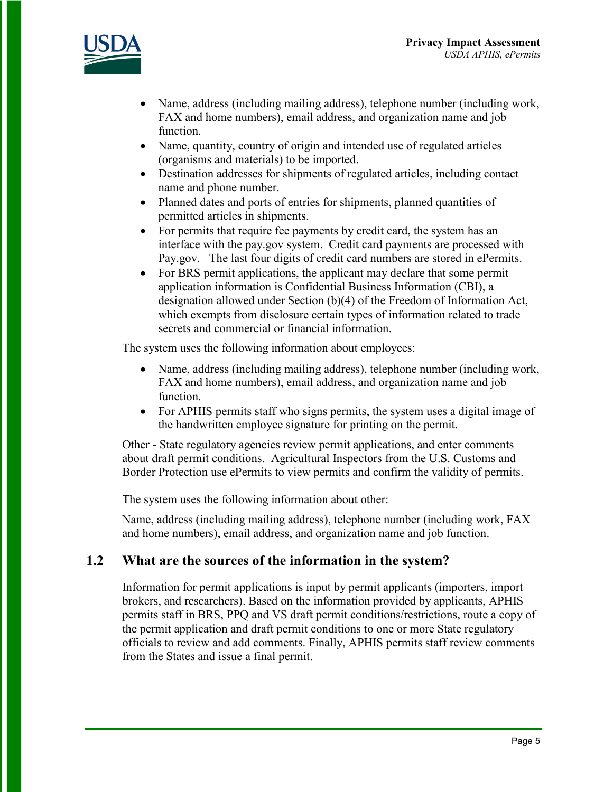



- Name, address (including mailing address), telephone number (including work, FAX and home numbers), email address, and organization name and job function.
- Name, quantity, country of origin and intended use of regulated articles (organisms and materials) to be imported.
- Destination addresses for shipments of regulated articles, including contact name and phone number.
- Planned dates and ports of entries for shipments, planned quantities of permitted articles in shipments.
- For permits that require fee payments by credit card, the system has an interface with the pay.gov system. Credit card payments are processed with Pay.gov. The last four digits of credit card numbers are stored in ePermits.
- For BRS permit applications, the applicant may declare that some permit application information is Confidential Business Information (CBI), a designation allowed under Section (b)(4) of the Freedom of Information Act, which exempts from disclosure certain types of information related to trade secrets and commercial or financial information.

The system uses the following information about employees:

- Name, address (including mailing address), telephone number (including work, FAX and home numbers), email address, and organization name and job function.
- For APHIS permits staff who signs permits, the system uses a digital image of the handwritten employee signature for printing on the permit.

Other - State regulatory agencies review permit applications, and enter comments about draft permit conditions. Agricultural Inspectors from the U.S. Customs and Border Protection use ePermits to view permits and confirm the validity of permits.

The system uses the following information about other:

Name, address (including mailing address), telephone number (including work, FAX and home numbers), email address, and organization name and job function.

#### **1.2 What are the sources of the information in the system?**

Information for permit applications is input by permit applicants (importers, import brokers, and researchers). Based on the information provided by applicants, APHIS permits staff in BRS, PPQ and VS draft permit conditions/restrictions, route a copy of the permit application and draft permit conditions to one or more State regulatory officials to review and add comments. Finally, APHIS permits staff review comments from the States and issue a final permit.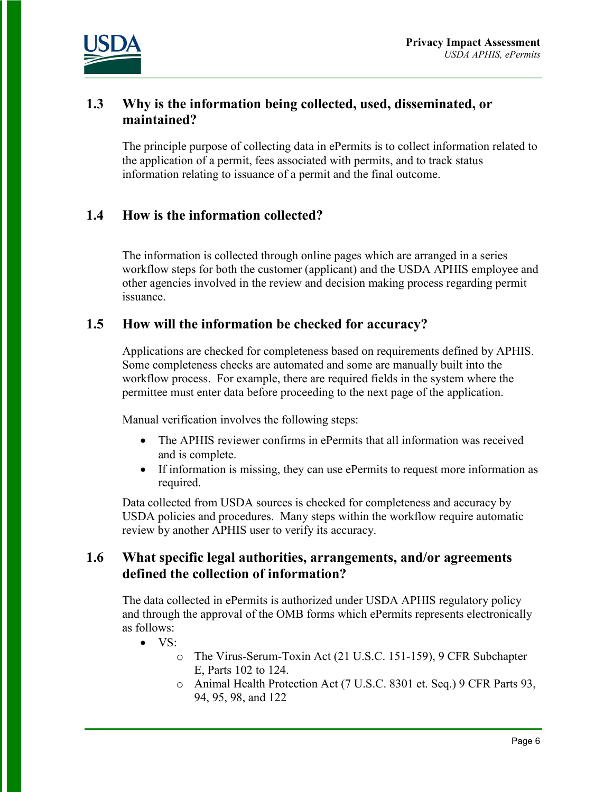

#### **1.3 Why is the information being collected, used, disseminated, or maintained?**

The principle purpose of collecting data in ePermits is to collect information related to the application of a permit, fees associated with permits, and to track status information relating to issuance of a permit and the final outcome.

#### **1.4 How is the information collected?**

The information is collected through online pages which are arranged in a series workflow steps for both the customer (applicant) and the USDA APHIS employee and other agencies involved in the review and decision making process regarding permit issuance.

#### **1.5 How will the information be checked for accuracy?**

Applications are checked for completeness based on requirements defined by APHIS. Some completeness checks are automated and some are manually built into the workflow process. For example, there are required fields in the system where the permittee must enter data before proceeding to the next page of the application.

Manual verification involves the following steps:

- The APHIS reviewer confirms in ePermits that all information was received and is complete.
- If information is missing, they can use ePermits to request more information as required.

Data collected from USDA sources is checked for completeness and accuracy by USDA policies and procedures. Many steps within the workflow require automatic review by another APHIS user to verify its accuracy.

#### **1.6 What specific legal authorities, arrangements, and/or agreements defined the collection of information?**

The data collected in ePermits is authorized under USDA APHIS regulatory policy and through the approval of the OMB forms which ePermits represents electronically as follows:

- VS:
	- o The Virus-Serum-Toxin Act (21 U.S.C. 151-159), 9 CFR Subchapter E, Parts 102 to 124.
	- o Animal Health Protection Act (7 U.S.C. 8301 et. Seq.) 9 CFR Parts 93, 94, 95, 98, and 122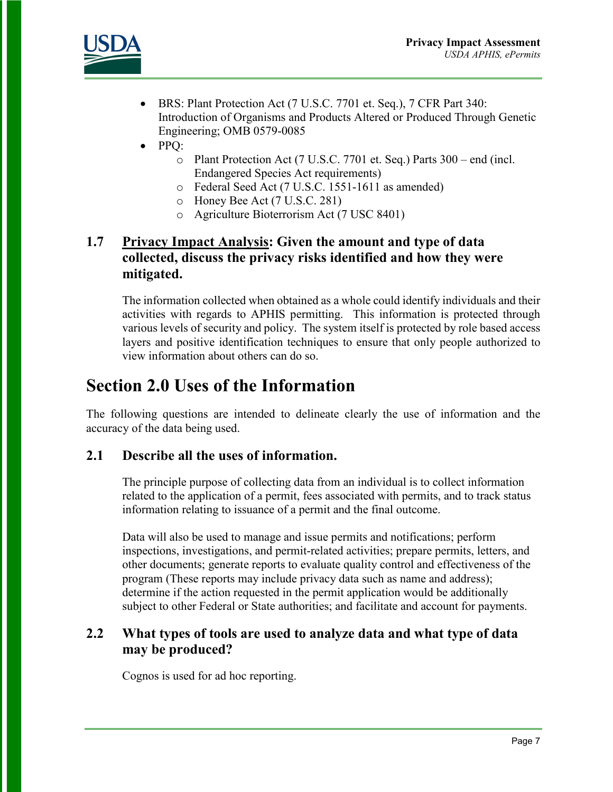

- BRS: Plant Protection Act (7 U.S.C. 7701 et. Seq.), 7 CFR Part 340: Introduction of Organisms and Products Altered or Produced Through Genetic Engineering; OMB 0579-0085
- PPQ:
	- o Plant Protection Act (7 U.S.C. 7701 et. Seq.) Parts 300 end (incl. Endangered Species Act requirements)
	- o Federal Seed Act (7 U.S.C. 1551-1611 as amended)
	- o Honey Bee Act (7 U.S.C. 281)
	- o Agriculture Bioterrorism Act (7 USC 8401)

#### **1.7 Privacy Impact Analysis: Given the amount and type of data collected, discuss the privacy risks identified and how they were mitigated.**

The information collected when obtained as a whole could identify individuals and their activities with regards to APHIS permitting. This information is protected through various levels of security and policy. The system itself is protected by role based access layers and positive identification techniques to ensure that only people authorized to view information about others can do so.

### **Section 2.0 Uses of the Information**

The following questions are intended to delineate clearly the use of information and the accuracy of the data being used.

#### **2.1 Describe all the uses of information.**

The principle purpose of collecting data from an individual is to collect information related to the application of a permit, fees associated with permits, and to track status information relating to issuance of a permit and the final outcome.

Data will also be used to manage and issue permits and notifications; perform inspections, investigations, and permit-related activities; prepare permits, letters, and other documents; generate reports to evaluate quality control and effectiveness of the program (These reports may include privacy data such as name and address); determine if the action requested in the permit application would be additionally subject to other Federal or State authorities; and facilitate and account for payments.

#### **2.2 What types of tools are used to analyze data and what type of data may be produced?**

Cognos is used for ad hoc reporting.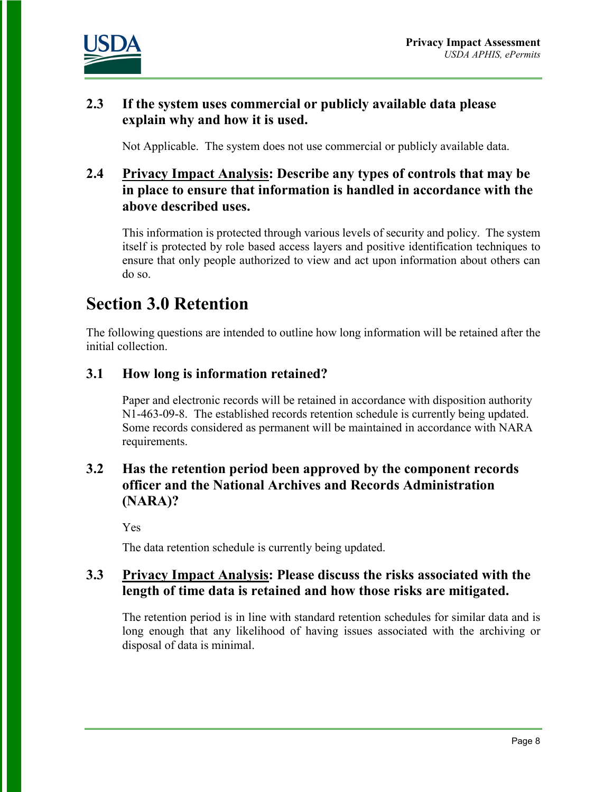

#### **2.3 If the system uses commercial or publicly available data please explain why and how it is used.**

Not Applicable. The system does not use commercial or publicly available data.

#### **2.4 Privacy Impact Analysis: Describe any types of controls that may be in place to ensure that information is handled in accordance with the above described uses.**

This information is protected through various levels of security and policy. The system itself is protected by role based access layers and positive identification techniques to ensure that only people authorized to view and act upon information about others can do so.

### **Section 3.0 Retention**

The following questions are intended to outline how long information will be retained after the initial collection.

#### **3.1 How long is information retained?**

Paper and electronic records will be retained in accordance with disposition authority N1-463-09-8. The established records retention schedule is currently being updated. Some records considered as permanent will be maintained in accordance with NARA requirements.

#### **3.2 Has the retention period been approved by the component records officer and the National Archives and Records Administration (NARA)?**

Yes

The data retention schedule is currently being updated.

#### **3.3 Privacy Impact Analysis: Please discuss the risks associated with the length of time data is retained and how those risks are mitigated.**

The retention period is in line with standard retention schedules for similar data and is long enough that any likelihood of having issues associated with the archiving or disposal of data is minimal.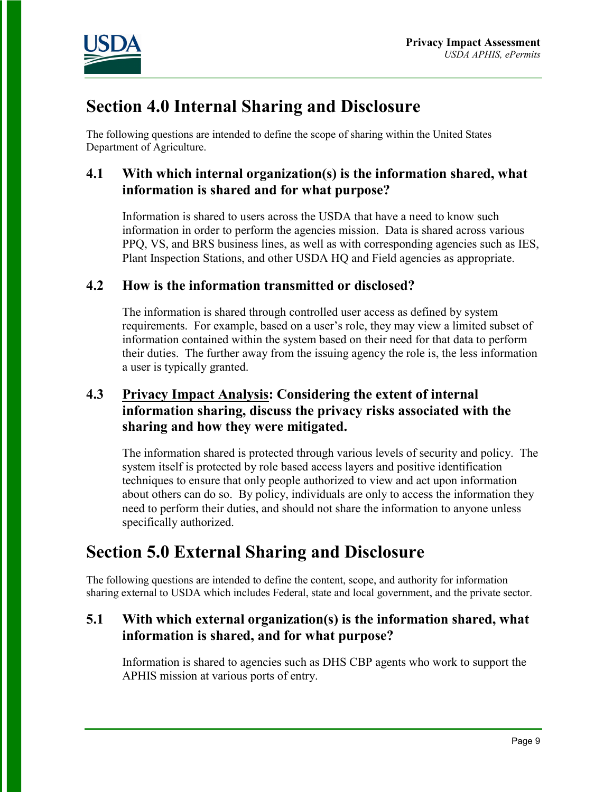

### **Section 4.0 Internal Sharing and Disclosure**

The following questions are intended to define the scope of sharing within the United States Department of Agriculture.

#### **4.1 With which internal organization(s) is the information shared, what information is shared and for what purpose?**

Information is shared to users across the USDA that have a need to know such information in order to perform the agencies mission. Data is shared across various PPQ, VS, and BRS business lines, as well as with corresponding agencies such as IES, Plant Inspection Stations, and other USDA HQ and Field agencies as appropriate.

#### **4.2 How is the information transmitted or disclosed?**

The information is shared through controlled user access as defined by system requirements. For example, based on a user's role, they may view a limited subset of information contained within the system based on their need for that data to perform their duties. The further away from the issuing agency the role is, the less information a user is typically granted.

#### **4.3 Privacy Impact Analysis: Considering the extent of internal information sharing, discuss the privacy risks associated with the sharing and how they were mitigated.**

The information shared is protected through various levels of security and policy. The system itself is protected by role based access layers and positive identification techniques to ensure that only people authorized to view and act upon information about others can do so. By policy, individuals are only to access the information they need to perform their duties, and should not share the information to anyone unless specifically authorized.

### **Section 5.0 External Sharing and Disclosure**

The following questions are intended to define the content, scope, and authority for information sharing external to USDA which includes Federal, state and local government, and the private sector.

#### **5.1 With which external organization(s) is the information shared, what information is shared, and for what purpose?**

Information is shared to agencies such as DHS CBP agents who work to support the APHIS mission at various ports of entry.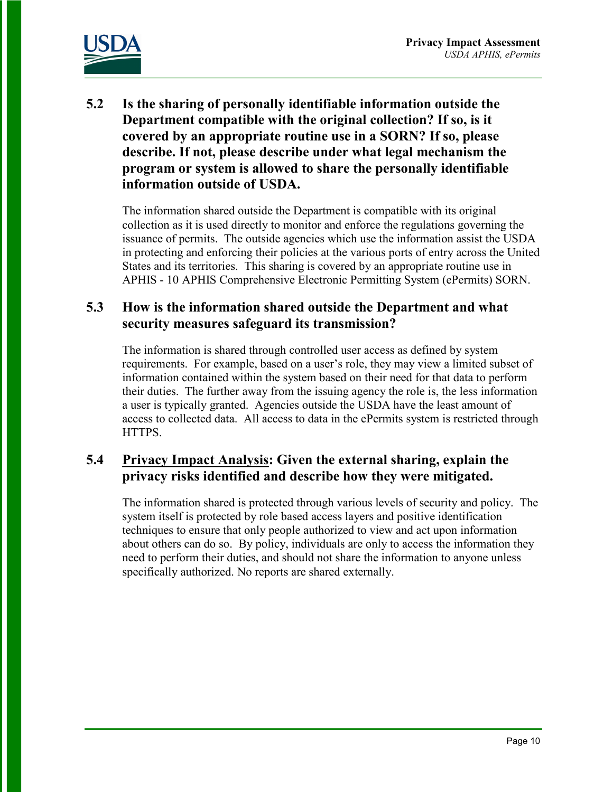

**5.2 Is the sharing of personally identifiable information outside the Department compatible with the original collection? If so, is it covered by an appropriate routine use in a SORN? If so, please describe. If not, please describe under what legal mechanism the program or system is allowed to share the personally identifiable information outside of USDA.** 

The information shared outside the Department is compatible with its original collection as it is used directly to monitor and enforce the regulations governing the issuance of permits. The outside agencies which use the information assist the USDA in protecting and enforcing their policies at the various ports of entry across the United States and its territories. This sharing is covered by an appropriate routine use in APHIS - 10 APHIS [Comprehensive](http://www.ocio.usda.gov/sites/default/files/docs/2012/APHIS-10_APHIS_Comprehensive_Electronic_Permitting_System%28ePermits%29.txt) Electronic Permitting System (ePermits) SORN.

#### **5.3 How is the information shared outside the Department and what security measures safeguard its transmission?**

The information is shared through controlled user access as defined by system requirements. For example, based on a user's role, they may view a limited subset of information contained within the system based on their need for that data to perform their duties. The further away from the issuing agency the role is, the less information a user is typically granted. Agencies outside the USDA have the least amount of access to collected data. All access to data in the ePermits system is restricted through HTTPS.

#### **5.4 Privacy Impact Analysis: Given the external sharing, explain the privacy risks identified and describe how they were mitigated.**

The information shared is protected through various levels of security and policy. The system itself is protected by role based access layers and positive identification techniques to ensure that only people authorized to view and act upon information about others can do so. By policy, individuals are only to access the information they need to perform their duties, and should not share the information to anyone unless specifically authorized. No reports are shared externally.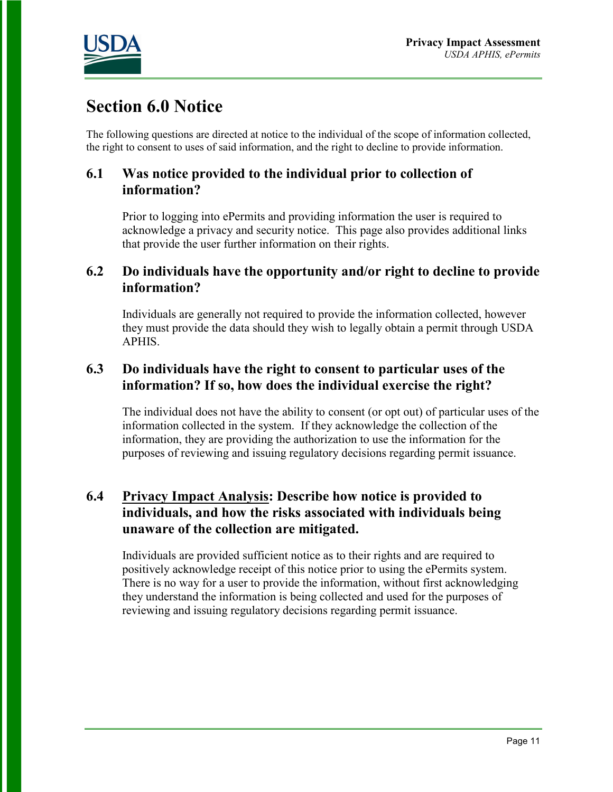

### **Section 6.0 Notice**

The following questions are directed at notice to the individual of the scope of information collected, the right to consent to uses of said information, and the right to decline to provide information.

#### **6.1 Was notice provided to the individual prior to collection of information?**

Prior to logging into ePermits and providing information the user is required to acknowledge a privacy and security notice. This page also provides additional links that provide the user further information on their rights.

#### **6.2 Do individuals have the opportunity and/or right to decline to provide information?**

Individuals are generally not required to provide the information collected, however they must provide the data should they wish to legally obtain a permit through USDA APHIS.

#### **6.3 Do individuals have the right to consent to particular uses of the information? If so, how does the individual exercise the right?**

The individual does not have the ability to consent (or opt out) of particular uses of the information collected in the system. If they acknowledge the collection of the information, they are providing the authorization to use the information for the purposes of reviewing and issuing regulatory decisions regarding permit issuance.

#### **6.4 Privacy Impact Analysis: Describe how notice is provided to individuals, and how the risks associated with individuals being unaware of the collection are mitigated.**

Individuals are provided sufficient notice as to their rights and are required to positively acknowledge receipt of this notice prior to using the ePermits system. There is no way for a user to provide the information, without first acknowledging they understand the information is being collected and used for the purposes of reviewing and issuing regulatory decisions regarding permit issuance.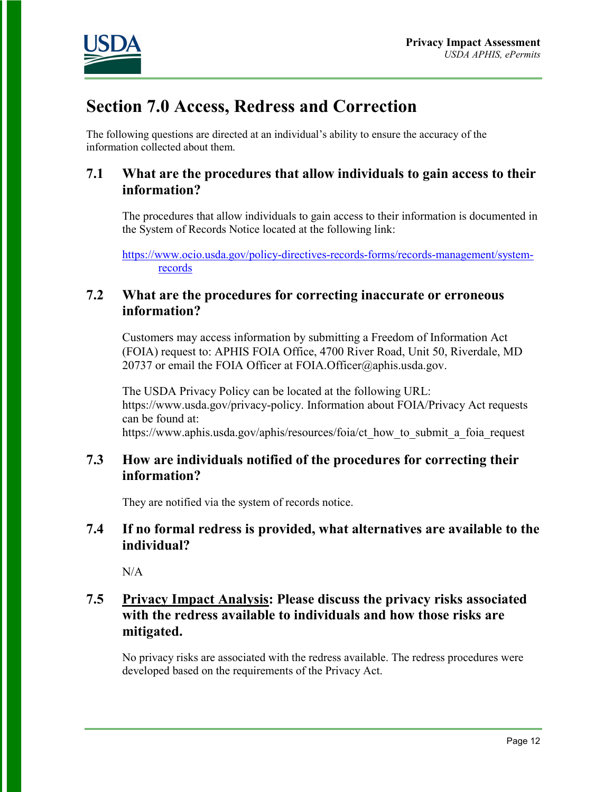

### **Section 7.0 Access, Redress and Correction**

The following questions are directed at an individual's ability to ensure the accuracy of the information collected about them.

#### **7.1 What are the procedures that allow individuals to gain access to their information?**

The procedures that allow individuals to gain access to their information is documented in the System of Records Notice located at the following link:

[https://www.ocio.usda.gov/policy-directives-records-forms/records-management/system](https://www.ocio.usda.gov/policy-directives-records-forms/records-management/system-records)[records](https://www.ocio.usda.gov/policy-directives-records-forms/records-management/system-records)

#### **7.2 What are the procedures for correcting inaccurate or erroneous information?**

Customers may access information by submitting a Freedom of Information Act (FOIA) request to: APHIS FOIA Office, 4700 River Road, Unit 50, Riverdale, MD 20737 or email the FOIA Officer at FOIA.Officer@aphis.usda.gov.

The USDA Privacy Policy can be located at the following URL: https://www.usda.gov/privacy-policy. Information about FOIA/Privacy Act requests can be found at: https://www.aphis.usda.gov/aphis/resources/foia/ct\_how\_to\_submit\_a\_foia\_request

#### **7.3 How are individuals notified of the procedures for correcting their information?**

They are notified via the system of records notice.

#### **7.4 If no formal redress is provided, what alternatives are available to the individual?**

N/A

#### **7.5 Privacy Impact Analysis: Please discuss the privacy risks associated with the redress available to individuals and how those risks are mitigated.**

No privacy risks are associated with the redress available. The redress procedures were developed based on the requirements of the Privacy Act.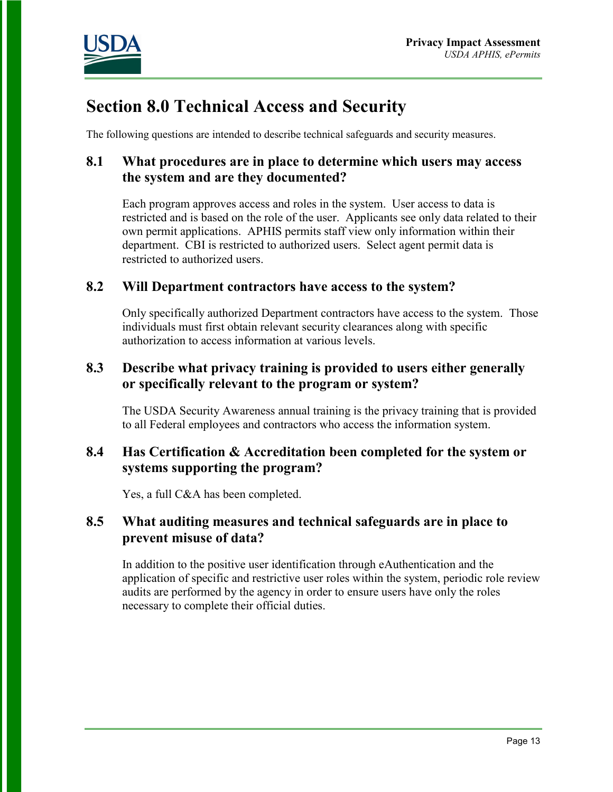

### **Section 8.0 Technical Access and Security**

The following questions are intended to describe technical safeguards and security measures.

#### **8.1 What procedures are in place to determine which users may access the system and are they documented?**

Each program approves access and roles in the system. User access to data is restricted and is based on the role of the user. Applicants see only data related to their own permit applications. APHIS permits staff view only information within their department. CBI is restricted to authorized users. Select agent permit data is restricted to authorized users.

#### **8.2 Will Department contractors have access to the system?**

Only specifically authorized Department contractors have access to the system. Those individuals must first obtain relevant security clearances along with specific authorization to access information at various levels.

#### **8.3 Describe what privacy training is provided to users either generally or specifically relevant to the program or system?**

The USDA Security Awareness annual training is the privacy training that is provided to all Federal employees and contractors who access the information system.

#### **8.4 Has Certification & Accreditation been completed for the system or systems supporting the program?**

Yes, a full C&A has been completed.

#### **8.5 What auditing measures and technical safeguards are in place to prevent misuse of data?**

In addition to the positive user identification through eAuthentication and the application of specific and restrictive user roles within the system, periodic role review audits are performed by the agency in order to ensure users have only the roles necessary to complete their official duties.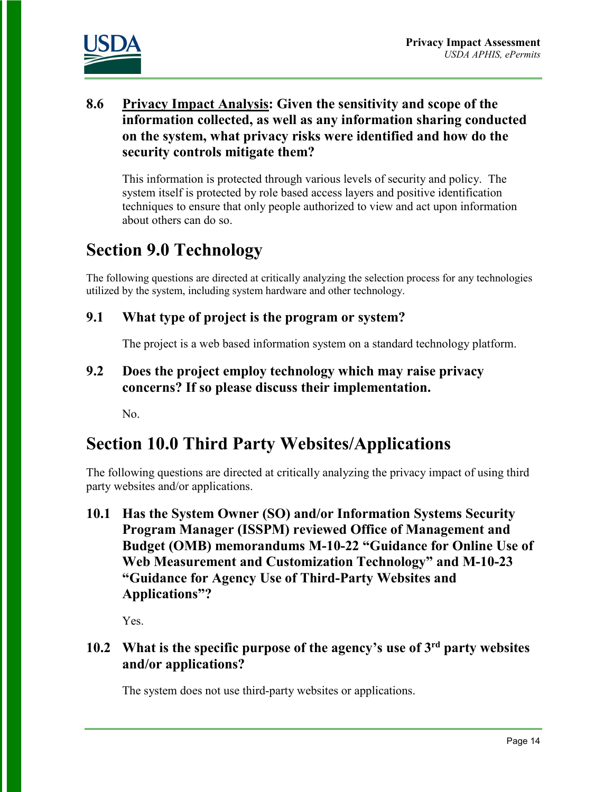

#### **8.6 Privacy Impact Analysis: Given the sensitivity and scope of the information collected, as well as any information sharing conducted on the system, what privacy risks were identified and how do the security controls mitigate them?**

This information is protected through various levels of security and policy. The system itself is protected by role based access layers and positive identification techniques to ensure that only people authorized to view and act upon information about others can do so.

### **Section 9.0 Technology**

The following questions are directed at critically analyzing the selection process for any technologies utilized by the system, including system hardware and other technology.

#### **9.1 What type of project is the program or system?**

The project is a web based information system on a standard technology platform.

#### **9.2 Does the project employ technology which may raise privacy concerns? If so please discuss their implementation.**

No.

### **Section 10.0 Third Party Websites/Applications**

The following questions are directed at critically analyzing the privacy impact of using third party websites and/or applications.

**10.1 Has the System Owner (SO) and/or Information Systems Security Program Manager (ISSPM) reviewed Office of Management and Budget (OMB) memorandums M-10-22 "Guidance for Online Use of Web Measurement and Customization Technology" and M-10-23 "Guidance for Agency Use of Third-Party Websites and Applications"?**

Yes.

#### **10.2 What is the specific purpose of the agency's use of 3rd party websites and/or applications?**

The system does not use third-party websites or applications.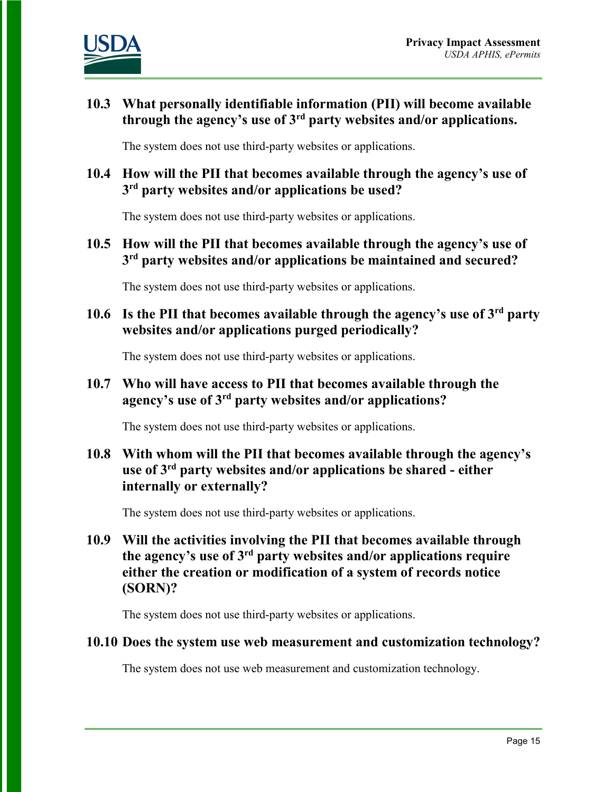

#### **10.3 What personally identifiable information (PII) will become available through the agency's use of 3rd party websites and/or applications.**

The system does not use third-party websites or applications.

#### **10.4 How will the PII that becomes available through the agency's use of 3rd party websites and/or applications be used?**

The system does not use third-party websites or applications.

#### **10.5 How will the PII that becomes available through the agency's use of 3rd party websites and/or applications be maintained and secured?**

The system does not use third-party websites or applications.

**10.6 Is the PII that becomes available through the agency's use of 3rd party websites and/or applications purged periodically?** 

The system does not use third-party websites or applications.

#### **10.7 Who will have access to PII that becomes available through the agency's use of 3rd party websites and/or applications?**

The system does not use third-party websites or applications.

#### **10.8 With whom will the PII that becomes available through the agency's use of 3rd party websites and/or applications be shared - either internally or externally?**

The system does not use third-party websites or applications.

**10.9 Will the activities involving the PII that becomes available through the agency's use of 3rd party websites and/or applications require either the creation or modification of a system of records notice (SORN)?**

The system does not use third-party websites or applications.

#### **10.10 Does the system use web measurement and customization technology?**

The system does not use web measurement and customization technology.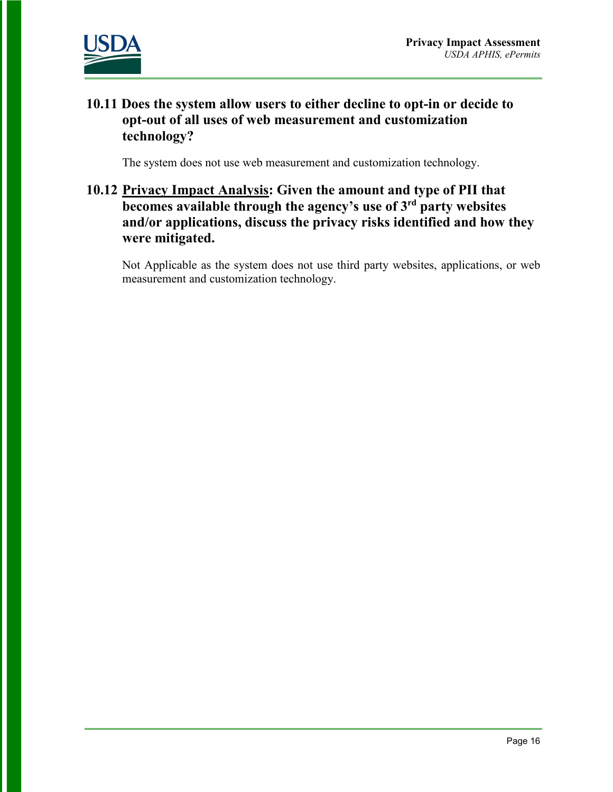

#### **10.11 Does the system allow users to either decline to opt-in or decide to opt-out of all uses of web measurement and customization technology?**

The system does not use web measurement and customization technology.

#### **10.12 Privacy Impact Analysis: Given the amount and type of PII that becomes available through the agency's use of 3rd party websites and/or applications, discuss the privacy risks identified and how they were mitigated.**

Not Applicable as the system does not use third party websites, applications, or web measurement and customization technology.